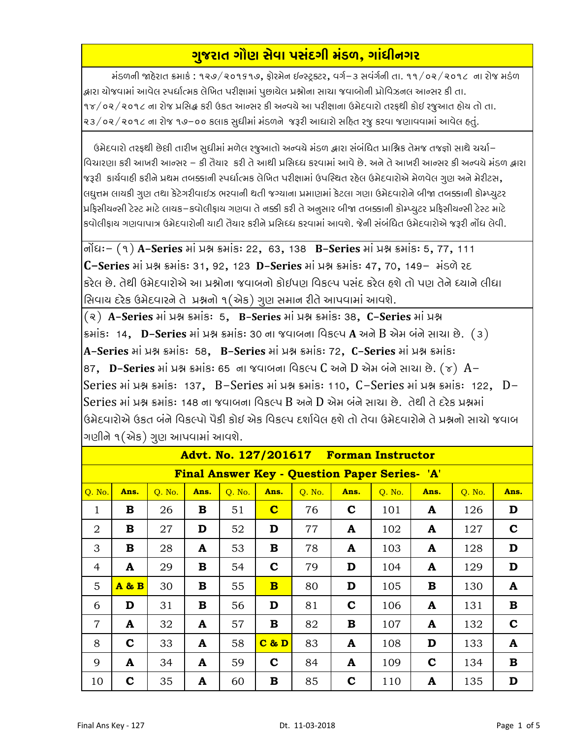## ગુજરાત ગૌણ સેવા પસંદગી મંડળ, ગાંધીનગર

મંડળની જાહેરાત ક્રમાકં : ૧૨૭/૨૦૧૬૧૭, ફોરમેન ઇન્સ્ટ્રક્ટર, વર્ગ–૩ સવંર્ગની તા. ૧૧/૦૨/૨૦૧૮ ના રોજ મડંળ દ્વારા યોજવામાં આવેલ સ્પર્ધાત્મક લેખિત પરીક્ષામાં પુછાયેલ પ્રશ્નોના સાચા જવાબોની પ્રોવિઝનલ આન્સર કી તા. ૧૪/૦૨/૨૦૧૮ ના રોજ પ્રસિદ્ધ કરી ઉકત આન્સર કી અન્વચે આ પરીક્ષાના ઉમેદવારો તરફથી કોઈ રજુઆત હોય તો તા. ૨૩/૦૨/૨૦૧૮ ના રોજ ૧૭–૦૦ કલાક સુધીમાં મંડળને જરૂરી આધારો સહિત રજૂ કરવા જણાવવામાં આવેલ હતું.

ઉમેદવારો તરફથી છેલી તારીખ સુધીમાં મળેલ રજુઆતો અન્વચે મંડળ દ્વારા સંબંધિત પ્રાશ્નિક તેમજ તજજ્ઞો સાથે ચર્ચા– વિચારણા કરી આખરી આન્સર – કી તૈયાર કરી તે આથી પ્રસિધ્ધ કરવામાં આવે છે. અને તે આખરી આન્સર કી અન્વચે મંડળ દ્વારા જરૂરી કાર્યવાહી કરીને પ્રથમ તબક્કાની સ્પર્ધાત્મક લેખિત પરીક્ષામાં ઉપસ્થિત રહેલ ઉમેદવારોએ મેળવેલ ગુણ અને મેરીટસ, લઘુત્તમ લાયકી ગુણ તથા કેટેગરીવાઈઝ ભરવાની થતી જગ્યાના પ્રમાણમાં કેટલા ગણા ઉમેદવારોને બીજા તબક્કાની કોમ્પ્યુટર પ્રફિસીયન્સી ટેસ્ટ માટે લાયક–કવોલીફાય ગણવા તે નક્કી કરી તે અનુસાર બીજા તબક્કાની કોમ્પ્યુટર પ્રફિસીયન્સી ટેસ્ટ માટે કવોલીકાય ગણવાપાત્ર ઉમેદવારોની યાદી તૈયાર કરીને પ્રસિધ્ધ કરવામાં આવશે. જેની સંબંધિત ઉમેદવારોએ જરૂરી નોંધ લેવી.

નોંઘઃ– (૧) **A-Series** માં પ્રશ્ન ક્રમાંકઃ 22, 63, 138 B-**Series** માં પ્રશ્ન ક્રમાંકઃ 5, 77, 111 C-Series Hi N& SHis: 31, 92, 123 D-Series Hi N& SHis: 47, 70, 149- Hisch 28 કરેલ છે. તેથી ઉમેદવારોએ આ પ્રશ્નોના જવાબનો કોઈપણ વિકલ્પ પસંદ કરેલ હશે તો પણ તેને ધ્યાને લીધા સિવાય દરેક ઉમેદવારને તે પ્રશ્નનો ૧(એક) ગુણ સમાન રીતે આપવામાં આવશે.

(२) A-Series Hi un shis: 5, B-Series Hi un shis: 38, C-Series Hi un ક્રમાંકઃ 14, **D-Series** માં પ્રશ્ન ક્રમાંકઃ 30 ના જવાબના વિકલ્પ **A** અને B એમ બંને સાચા છે. (૩) A-Series ні уня внів: 58, B-Series ні уня внів: 72, C-Series ні уня внів: 87, D-Series માં પ્રશ્ન ક્રમાંક: 65 ના જવાબના વિકલ્પ C અને D એમ બંને સાચા છે. (૪) A-Series Hi N& shis: 137, B-Series Hi N& shis: 110, C-Series Hi N& shis: 122, D-Series માં પ્રશ્ન ક્રમાંકઃ 148 ના જવાબના વિકલ્પ B અને D એમ બંને સાચા છે. તેથી તે દરેક પ્રશ્નમાં ઉમેદવારોએ ઉકત બંને વિકલ્પો પૈકી કોઈ એક વિકલ્પ દર્શાવેલ હશે તો તેવા ઉમેદવારોને તે પ્રશ્નનો સાચો જવાબ ગણીને ૧(એક) ગુણ આપવામાં આવશે.

| Advt. No. 127/201617<br><b>Forman Instructor</b>     |             |        |      |        |                         |        |             |        |             |        |             |  |  |
|------------------------------------------------------|-------------|--------|------|--------|-------------------------|--------|-------------|--------|-------------|--------|-------------|--|--|
| <b>Final Answer Key - Question Paper Series- 'A'</b> |             |        |      |        |                         |        |             |        |             |        |             |  |  |
| Q. No.                                               | Ans.        | Q. No. | Ans. | O. No. | Ans.                    | O. No. | Ans.        | O. No. | Ans.        | O. No. | Ans.        |  |  |
| $\mathbf{1}$                                         | В           | 26     | В    | 51     | $\overline{\mathbf{C}}$ | 76     | $\mathbf c$ | 101    | A           | 126    | D           |  |  |
| 2                                                    | B           | 27     | D    | 52     | D                       | 77     | A           | 102    | A           | 127    | $\mathbf c$ |  |  |
| 3                                                    | B           | 28     | A    | 53     | B                       | 78     | A           | 103    | A           | 128    | D           |  |  |
| 4                                                    | A           | 29     | В    | 54     | $\mathbf c$             | 79     | D           | 104    | A           | 129    | D           |  |  |
| 5                                                    | $A \& B$    | 30     | В    | 55     | $\overline{\mathbf{B}}$ | 80     | D           | 105    | В           | 130    | A           |  |  |
| 6                                                    | D           | 31     | В    | 56     | D                       | 81     | $\mathbf c$ | 106    | A           | 131    | В           |  |  |
| $\overline{7}$                                       | A           | 32     | A    | 57     | B                       | 82     | B           | 107    | A           | 132    | $\mathbf c$ |  |  |
| 8                                                    | $\mathbf C$ | 33     | A    | 58     | $C$ & $D$               | 83     | A           | 108    | D           | 133    | A           |  |  |
| 9                                                    | A           | 34     | A    | 59     | $\mathbf C$             | 84     | A           | 109    | $\mathbf c$ | 134    | $\bf{B}$    |  |  |
| 10                                                   | $\mathbf C$ | 35     | A    | 60     | B                       | 85     | $\mathbf C$ | 110    | A           | 135    | D           |  |  |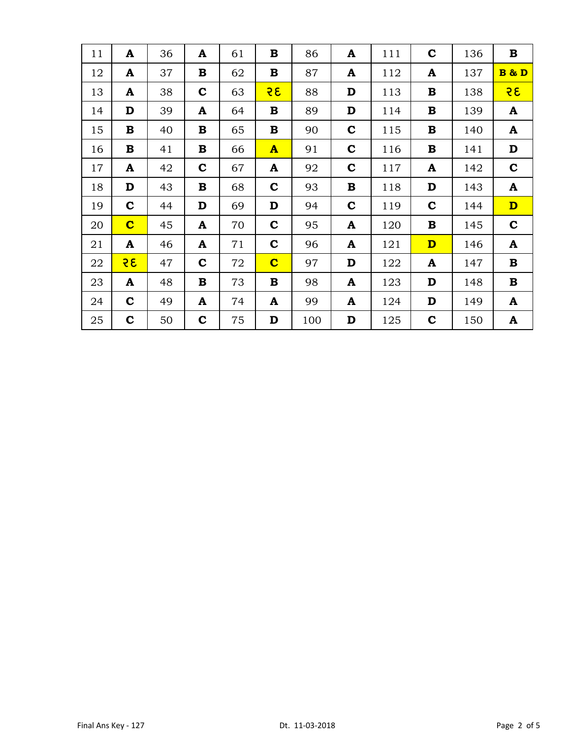| 11 | A                       | 36 | A           | 61 | В                       | 86  | A           | 111 | $\mathbf C$             | 136 | $\bf{B}$                |
|----|-------------------------|----|-------------|----|-------------------------|-----|-------------|-----|-------------------------|-----|-------------------------|
| 12 | A                       | 37 | B           | 62 | B                       | 87  | A           | 112 | A                       | 137 | B & D                   |
| 13 | A                       | 38 | $\mathbf C$ | 63 | २६                      | 88  | D           | 113 | B                       | 138 | 35                      |
| 14 | D                       | 39 | A           | 64 | $\bf{B}$                | 89  | D           | 114 | B                       | 139 | A                       |
| 15 | $\bf{B}$                | 40 | $\mathbf B$ | 65 | $\bf{B}$                | 90  | $\mathbf C$ | 115 | $\bf{B}$                | 140 | A                       |
| 16 | B                       | 41 | B           | 66 | $\mathbf{A}$            | 91  | $\mathbf c$ | 116 | B                       | 141 | D                       |
| 17 | A                       | 42 | $\mathbf C$ | 67 | A                       | 92  | $\mathbf C$ | 117 | A                       | 142 | $\mathbf C$             |
| 18 | D                       | 43 | B           | 68 | $\mathbf C$             | 93  | B           | 118 | D                       | 143 | A                       |
| 19 | $\mathbf C$             | 44 | D           | 69 | D                       | 94  | $\mathbf C$ | 119 | $\mathbf C$             | 144 | $\overline{\mathbf{D}}$ |
| 20 | $\overline{\mathbf{C}}$ | 45 | A           | 70 | $\mathbf c$             | 95  | A           | 120 | B                       | 145 | $\mathbf C$             |
| 21 | A                       | 46 | A           | 71 | $\mathbf c$             | 96  | A           | 121 | $\overline{\mathbf{D}}$ | 146 | A                       |
| 22 | 35                      | 47 | $\mathbf C$ | 72 | $\overline{\mathbf{C}}$ | 97  | D           | 122 | A                       | 147 | $\bf{B}$                |
| 23 | $\mathbf{A}$            | 48 | $\bf{B}$    | 73 | $\bf{B}$                | 98  | A           | 123 | D                       | 148 | $\mathbf B$             |
| 24 | $\mathbf C$             | 49 | A           | 74 | A                       | 99  | A           | 124 | D                       | 149 | A                       |
| 25 | $\mathbf c$             | 50 | $\mathbf c$ | 75 | D                       | 100 | D           | 125 | $\mathbf C$             | 150 | A                       |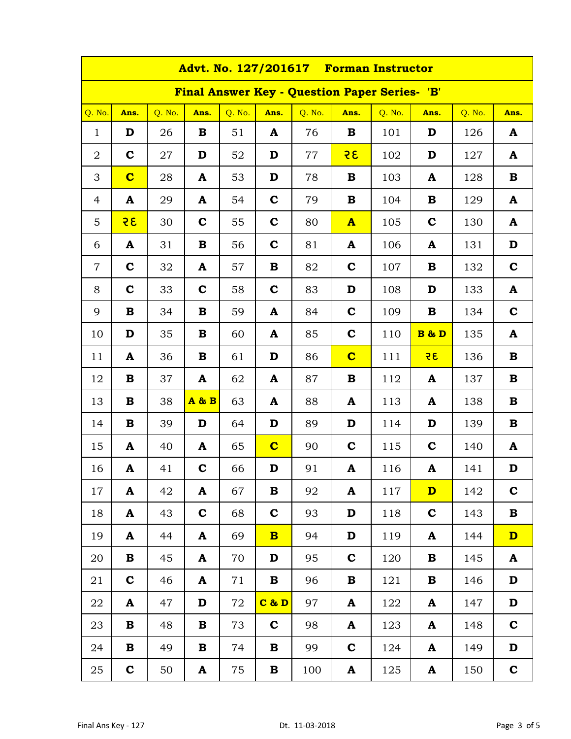|                | Advt. No. 127/201617 Forman Instructor |        |             |        |                         |        |                                               |        |                         |        |              |  |  |
|----------------|----------------------------------------|--------|-------------|--------|-------------------------|--------|-----------------------------------------------|--------|-------------------------|--------|--------------|--|--|
|                |                                        |        |             |        |                         |        | Final Answer Key - Question Paper Series- 'B' |        |                         |        |              |  |  |
| Q. No.         | Ans.                                   | Q. No. | Ans.        | Q. No. | Ans.                    | Q. No. | Ans.                                          | Q. No. | Ans.                    | Q. No. | Ans.         |  |  |
| $\mathbf{1}$   | D                                      | 26     | B           | 51     | A                       | 76     | B                                             | 101    | D                       | 126    | A            |  |  |
| $\overline{2}$ | $\mathbf c$                            | 27     | D           | 52     | D                       | $77\,$ | 35                                            | 102    | D                       | 127    | A            |  |  |
| 3              | $\overline{\mathbf{C}}$                | 28     | A           | 53     | D                       | 78     | B                                             | 103    | A                       | 128    | $\mathbf B$  |  |  |
| 4              | A                                      | 29     | A           | 54     | $\mathbf c$             | 79     | B                                             | 104    | B                       | 129    | A            |  |  |
| 5              | २६                                     | 30     | $\mathbf c$ | 55     | $\mathbf c$             | 80     | $\mathbf{A}$                                  | 105    | $\mathbf C$             | 130    | A            |  |  |
| 6              | A                                      | 31     | B           | 56     | $\mathbf c$             | 81     | A                                             | 106    | A                       | 131    | D            |  |  |
| $\overline{7}$ | $\mathbf C$                            | 32     | A           | 57     | $\bf{B}$                | 82     | $\mathbf C$                                   | 107    | B                       | 132    | $\mathbf C$  |  |  |
| 8              | $\mathbf c$                            | 33     | $\mathbf c$ | 58     | $\mathbf c$             | 83     | D                                             | 108    | D                       | 133    | A            |  |  |
| 9              | B                                      | 34     | B           | 59     | A                       | 84     | $\mathbf C$                                   | 109    | B                       | 134    | $\mathbf C$  |  |  |
| 10             | D                                      | 35     | B           | 60     | A                       | 85     | $\mathbf C$                                   | 110    | <b>B &amp; D</b>        | 135    | A            |  |  |
| 11             | A                                      | 36     | B           | 61     | D                       | 86     | $\bf c$                                       | 111    | 35                      | 136    | $\bf{B}$     |  |  |
| 12             | B                                      | 37     | A           | 62     | A                       | 87     | B                                             | 112    | A                       | 137    | $\mathbf B$  |  |  |
| 13             | B                                      | 38     | A&B         | 63     | A                       | 88     | A                                             | 113    | A                       | 138    | $\mathbf B$  |  |  |
| 14             | B                                      | 39     | D           | 64     | D                       | 89     | D                                             | 114    | D                       | 139    | $\bf{B}$     |  |  |
| 15             | A                                      | 40     | A           | 65     | $\overline{\mathbf{C}}$ | 90     | $\mathbf C$                                   | 115    | $\mathbf C$             | 140    | A            |  |  |
| 16             | A                                      | 41     | $\mathbf C$ | 66     | D                       | 91     | A                                             | 116    | A                       | 141    | D            |  |  |
| 17             | A                                      | 42     | A           | 67     | B                       | 92     | A                                             | 117    | $\overline{\mathbf{D}}$ | 142    | $\mathbf C$  |  |  |
| 18             | $\mathbf{A}$                           | 43     | $\mathbf C$ | 68     | $\mathbf c$             | 93     | D                                             | 118    | $\mathbf c$             | 143    | $\mathbf B$  |  |  |
| 19             | $\mathbf{A}$                           | 44     | A           | 69     | $\overline{\mathbf{B}}$ | 94     | D                                             | 119    | A                       | 144    | $\mathbf{D}$ |  |  |
| 20             | B                                      | 45     | A           | 70     | D                       | 95     | $\mathbf C$                                   | 120    | B                       | 145    | A            |  |  |
| 21             | $\mathbf C$                            | 46     | A           | 71     | B                       | 96     | B                                             | 121    | B                       | 146    | D            |  |  |
| 22             | $\mathbf{A}$                           | 47     | D           | 72     | C & D                   | 97     | A                                             | 122    | A                       | 147    | D            |  |  |
| 23             | B                                      | 48     | B           | 73     | $\mathbf C$             | 98     | A                                             | 123    | A                       | 148    | $\mathbf C$  |  |  |
| 24             | B                                      | 49     | B           | 74     | B                       | 99     | $\mathbf C$                                   | 124    | A                       | 149    | D            |  |  |
| 25             | $\mathbf C$                            | 50     | A           | 75     | B                       | 100    | $\mathbf{A}$                                  | 125    | A                       | 150    | $\mathbf C$  |  |  |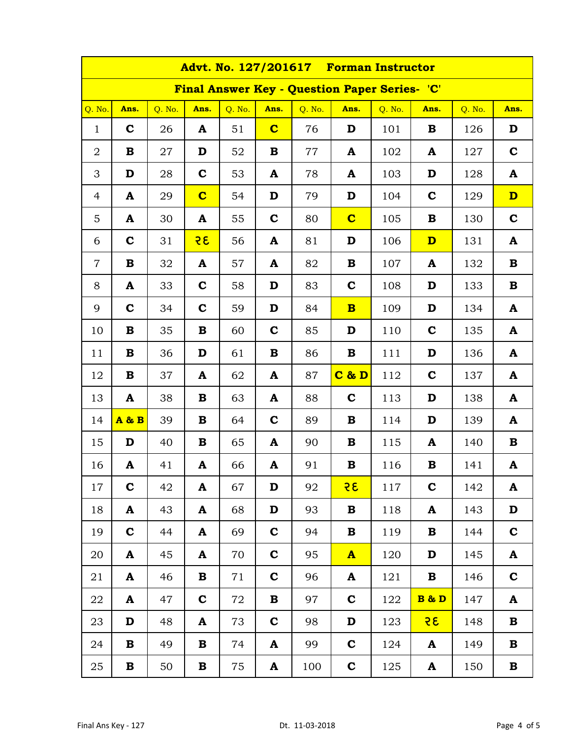| Advt. No. 127/201617 Forman Instructor |              |        |                         |        |                         |        |                                                      |        |                         |        |                         |  |
|----------------------------------------|--------------|--------|-------------------------|--------|-------------------------|--------|------------------------------------------------------|--------|-------------------------|--------|-------------------------|--|
|                                        |              |        |                         |        |                         |        | <b>Final Answer Key - Question Paper Series- 'C'</b> |        |                         |        |                         |  |
| Q. No.                                 | Ans.         | Q. No. | Ans.                    | Q. No. | Ans.                    | Q. No. | Ans.                                                 | Q. No. | Ans.                    | Q. No. | Ans.                    |  |
| $\mathbf{1}$                           | $\mathbf c$  | 26     | A                       | 51     | $\overline{\mathbf{C}}$ | 76     | D                                                    | 101    | B                       | 126    | D                       |  |
| $\overline{2}$                         | B            | 27     | D                       | 52     | B                       | 77     | A                                                    | 102    | A                       | 127    | $\mathbf C$             |  |
| 3                                      | D            | 28     | $\mathbf C$             | 53     | A                       | 78     | A                                                    | 103    | D                       | 128    | A                       |  |
| $\overline{4}$                         | A            | 29     | $\overline{\mathbf{C}}$ | 54     | D                       | 79     | D                                                    | 104    | $\mathbf C$             | 129    | $\overline{\mathbf{D}}$ |  |
| 5                                      | A            | 30     | A                       | 55     | $\mathbf C$             | 80     | $\overline{\mathbf{C}}$                              | 105    | B                       | 130    | $\mathbf C$             |  |
| 6                                      | $\mathbf C$  | 31     | २६                      | 56     | A                       | 81     | D                                                    | 106    | $\overline{\mathbf{D}}$ | 131    | A                       |  |
| $\overline{7}$                         | B            | 32     | A                       | 57     | A                       | 82     | B                                                    | 107    | A                       | 132    | $\mathbf B$             |  |
| 8                                      | A            | 33     | $\mathbf C$             | 58     | D                       | 83     | $\mathbf C$                                          | 108    | D                       | 133    | $\mathbf B$             |  |
| 9                                      | $\mathbf C$  | 34     | $\mathbf C$             | 59     | D                       | 84     | $\overline{\mathbf{B}}$                              | 109    | D                       | 134    | A                       |  |
| 10                                     | B            | 35     | B                       | 60     | $\mathbf C$             | 85     | D                                                    | 110    | $\mathbf C$             | 135    | A                       |  |
| 11                                     | B            | 36     | D                       | 61     | $\bf{B}$                | 86     | B                                                    | 111    | D                       | 136    | A                       |  |
| 12                                     | B            | 37     | A                       | 62     | A                       | 87     | $C$ & $D$                                            | 112    | $\mathbf C$             | 137    | A                       |  |
| 13                                     | A            | 38     | B                       | 63     | A                       | 88     | $\mathbf C$                                          | 113    | D                       | 138    | A                       |  |
| 14                                     | $A \& B$     | 39     | B                       | 64     | $\mathbf C$             | 89     | B                                                    | 114    | D                       | 139    | A                       |  |
| 15                                     | D            | 40     | B                       | 65     | A                       | 90     | B                                                    | 115    | A                       | 140    | B                       |  |
| 16                                     | A            | 41     | A                       | 66     | A                       | 91     | B                                                    | 116    | B                       | 141    | A                       |  |
| 17                                     | $\mathbf C$  | 42     | A                       | 67     | D                       | 92     | 35                                                   | 117    | $\mathbf c$             | 142    | A                       |  |
| 18                                     | A            | 43     | A                       | 68     | D                       | 93     | B                                                    | 118    | A                       | 143    | D                       |  |
| 19                                     | $\mathbf C$  | 44     | A                       | 69     | $\mathbf C$             | 94     | B                                                    | 119    | B                       | 144    | $\mathbf C$             |  |
| 20                                     | $\mathbf{A}$ | 45     | A                       | 70     | $\mathbf C$             | 95     | $\mathbf{A}$                                         | 120    | D                       | 145    | A                       |  |
| 21                                     | A            | 46     | B                       | 71     | $\mathbf c$             | 96     | A                                                    | 121    | B                       | 146    | $\mathbf C$             |  |
| 22                                     | A            | 47     | $\mathbf C$             | 72     | $\bf{B}$                | 97     | $\mathbf c$                                          | 122    | <b>B &amp; D</b>        | 147    | A                       |  |
| 23                                     | D            | 48     | A                       | 73     | $\mathbf C$             | 98     | D                                                    | 123    | 35                      | 148    | $\mathbf B$             |  |
| 24                                     | B            | 49     | B                       | 74     | A                       | 99     | $\mathbf C$                                          | 124    | A                       | 149    | B                       |  |
| 25                                     | B            | 50     | В                       | 75     | A                       | 100    | $\mathbf C$                                          | 125    | A                       | 150    | $\mathbf B$             |  |